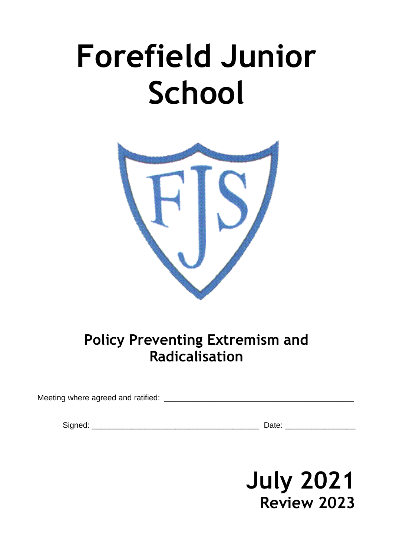# **Forefield Junior School**



# **Policy Preventing Extremism and Radicalisation**

Meeting where agreed and ratified: \_\_\_\_\_\_\_\_\_\_\_\_\_\_\_\_\_\_\_\_\_\_\_\_\_\_\_\_\_\_\_\_\_\_\_\_\_\_\_\_\_\_\_

Signed: \_\_\_\_\_\_\_\_\_\_\_\_\_\_\_\_\_\_\_\_\_\_\_\_\_\_\_\_\_\_\_\_\_\_\_\_\_\_ Date: \_\_\_\_\_\_\_\_\_\_\_\_\_\_\_\_

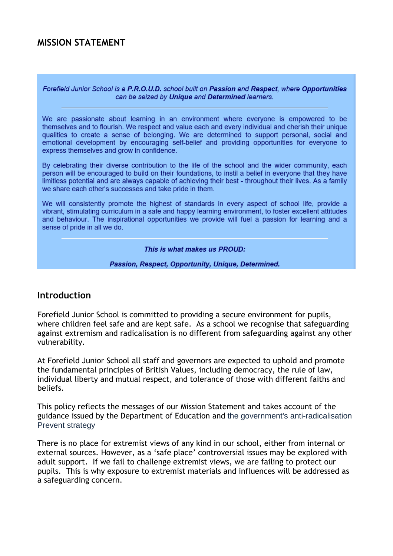#### **MISSION STATEMENT**

Forefield Junior School is a P.R.O.U.D. school built on Passion and Respect, where Opportunities can be seized by Unique and Determined learners.

We are passionate about learning in an environment where everyone is empowered to be themselves and to flourish. We respect and value each and every individual and cherish their unique qualities to create a sense of belonging. We are determined to support personal, social and emotional development by encouraging self-belief and providing opportunities for everyone to express themselves and grow in confidence.

By celebrating their diverse contribution to the life of the school and the wider community, each person will be encouraged to build on their foundations, to instil a belief in everyone that they have limitless potential and are always capable of achieving their best - throughout their lives. As a family we share each other's successes and take pride in them.

We will consistently promote the highest of standards in every aspect of school life, provide a vibrant, stimulating curriculum in a safe and happy learning environment, to foster excellent attitudes and behaviour. The inspirational opportunities we provide will fuel a passion for learning and a sense of pride in all we do.

This is what makes us PROUD:

Passion, Respect, Opportunity, Unique, Determined.

#### **Introduction**

Forefield Junior School is committed to providing a secure environment for pupils, where children feel safe and are kept safe. As a school we recognise that safeguarding against extremism and radicalisation is no different from safeguarding against any other vulnerability.

At Forefield Junior School all staff and governors are expected to uphold and promote the fundamental principles of British Values, including democracy, the rule of law, individual liberty and mutual respect, and tolerance of those with different faiths and beliefs.

This policy reflects the messages of our Mission Statement and takes account of the guidance issued by the Department of Education and the government's anti-radicalisation Prevent strategy

There is no place for extremist views of any kind in our school, either from internal or external sources. However, as a 'safe place' controversial issues may be explored with adult support. If we fail to challenge extremist views, we are failing to protect our pupils. This is why exposure to extremist materials and influences will be addressed as a safeguarding concern.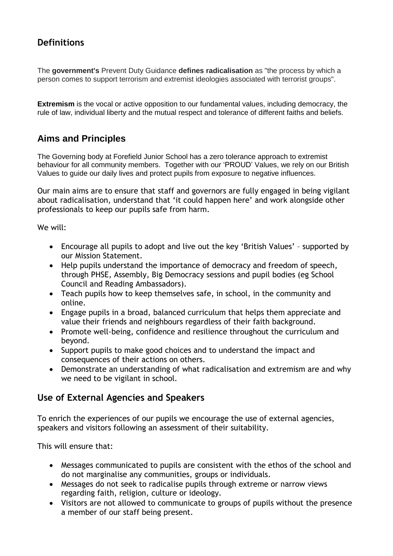## **Definitions**

The **government's** Prevent Duty Guidance **defines radicalisation** as "the process by which a person comes to support terrorism and extremist ideologies associated with terrorist groups".

**Extremism** is the vocal or active opposition to our fundamental values, including democracy, the rule of law, individual liberty and the mutual respect and tolerance of different faiths and beliefs.

#### **Aims and Principles**

The Governing body at Forefield Junior School has a zero tolerance approach to extremist behaviour for all community members. Together with our 'PROUD' Values, we rely on our British Values to guide our daily lives and protect pupils from exposure to negative influences.

Our main aims are to ensure that staff and governors are fully engaged in being vigilant about radicalisation, understand that 'it could happen here' and work alongside other professionals to keep our pupils safe from harm.

We will:

- Encourage all pupils to adopt and live out the key 'British Values' supported by our Mission Statement.
- Help pupils understand the importance of democracy and freedom of speech, through PHSE, Assembly, Big Democracy sessions and pupil bodies (eg School Council and Reading Ambassadors).
- Teach pupils how to keep themselves safe, in school, in the community and online.
- Engage pupils in a broad, balanced curriculum that helps them appreciate and value their friends and neighbours regardless of their faith background.
- Promote well-being, confidence and resilience throughout the curriculum and beyond.
- Support pupils to make good choices and to understand the impact and consequences of their actions on others.
- Demonstrate an understanding of what radicalisation and extremism are and why we need to be vigilant in school.

#### **Use of External Agencies and Speakers**

To enrich the experiences of our pupils we encourage the use of external agencies, speakers and visitors following an assessment of their suitability.

This will ensure that:

- Messages communicated to pupils are consistent with the ethos of the school and do not marginalise any communities, groups or individuals.
- Messages do not seek to radicalise pupils through extreme or narrow views regarding faith, religion, culture or ideology.
- Visitors are not allowed to communicate to groups of pupils without the presence a member of our staff being present.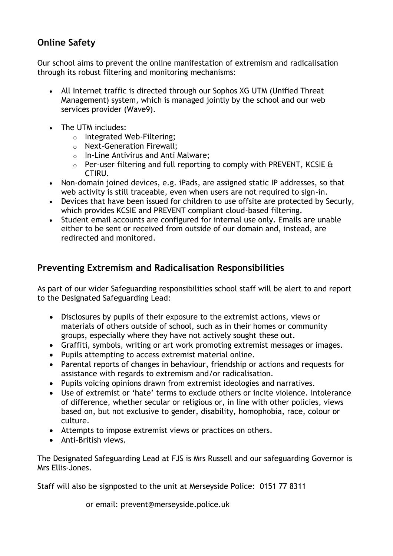### **Online Safety**

Our school aims to prevent the online manifestation of extremism and radicalisation through its robust filtering and monitoring mechanisms:

- All Internet traffic is directed through our Sophos XG UTM (Unified Threat Management) system, which is managed jointly by the school and our web services provider (Wave9).
- The UTM includes:
	- o Integrated Web-Filtering;
	- o Next-Generation Firewall;
	- o In-Line Antivirus and Anti Malware;
	- $\circ$  Per-user filtering and full reporting to comply with PREVENT, KCSIE & CTIRU.
- Non-domain joined devices, e.g. iPads, are assigned static IP addresses, so that web activity is still traceable, even when users are not required to sign-in.
- Devices that have been issued for children to use offsite are protected by Securly, which provides KCSIE and PREVENT compliant cloud-based filtering.
- Student email accounts are configured for internal use only. Emails are unable either to be sent or received from outside of our domain and, instead, are redirected and monitored.

# **Preventing Extremism and Radicalisation Responsibilities**

As part of our wider Safeguarding responsibilities school staff will be alert to and report to the Designated Safeguarding Lead:

- Disclosures by pupils of their exposure to the extremist actions, views or materials of others outside of school, such as in their homes or community groups, especially where they have not actively sought these out.
- Graffiti, symbols, writing or art work promoting extremist messages or images.
- Pupils attempting to access extremist material online.
- Parental reports of changes in behaviour, friendship or actions and requests for assistance with regards to extremism and/or radicalisation.
- Pupils voicing opinions drawn from extremist ideologies and narratives.
- Use of extremist or 'hate' terms to exclude others or incite violence. Intolerance of difference, whether secular or religious or, in line with other policies, views based on, but not exclusive to gender, disability, homophobia, race, colour or culture.
- Attempts to impose extremist views or practices on others.
- Anti-British views.

The Designated Safeguarding Lead at FJS is Mrs Russell and our safeguarding Governor is Mrs Ellis-Jones.

Staff will also be signposted to the unit at Merseyside Police: 0151 77 8311

or email: prevent@merseyside.police.uk